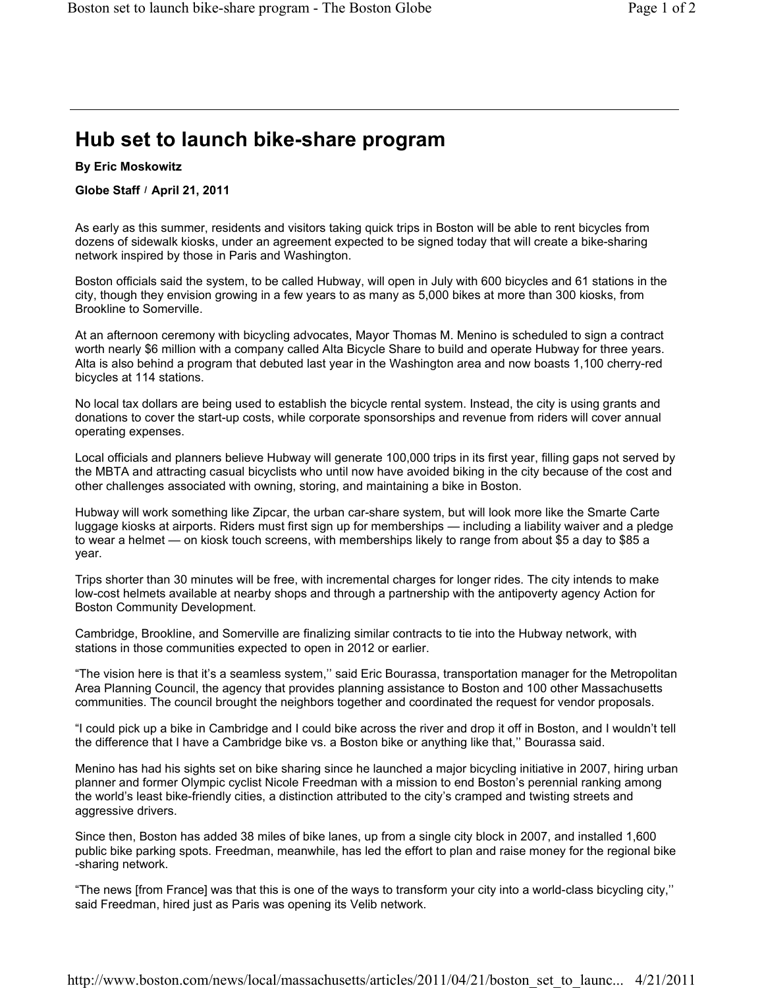## **Hub set to launch bike-share program**

## **By Eric Moskowitz**

## Globe Staff / April 21, 2011

As early as this summer, residents and visitors taking quick trips in Boston will be able to rent bicycles from dozens of sidewalk kiosks, under an agreement expected to be signed today that will create a bike-sharing network inspired by those in Paris and Washington.

Boston officials said the system, to be called Hubway, will open in July with 600 bicycles and 61 stations in the city, though they envision growing in a few years to as many as 5,000 bikes at more than 300 kiosks, from Brookline to Somerville.

At an afternoon ceremony with bicycling advocates, Mayor Thomas M. Menino is scheduled to sign a contract worth nearly \$6 million with a company called Alta Bicycle Share to build and operate Hubway for three years. Alta is also behind a program that debuted last year in the Washington area and now boasts 1,100 cherry-red bicycles at 114 stations.

No local tax dollars are being used to establish the bicycle rental system. Instead, the city is using grants and donations to cover the start-up costs, while corporate sponsorships and revenue from riders will cover annual operating expenses.

Local officials and planners believe Hubway will generate 100,000 trips in its first year, filling gaps not served by the MBTA and attracting casual bicyclists who until now have avoided biking in the city because of the cost and other challenges associated with owning, storing, and maintaining a bike in Boston.

Hubway will work something like Zipcar, the urban car-share system, but will look more like the Smarte Carte luggage kiosks at airports. Riders must first sign up for memberships — including a liability waiver and a pledge to wear a helmet — on kiosk touch screens, with memberships likely to range from about \$5 a day to \$85 a year.

Trips shorter than 30 minutes will be free, with incremental charges for longer rides. The city intends to make low-cost helmets available at nearby shops and through a partnership with the antipoverty agency Action for Boston Community Development.

Cambridge, Brookline, and Somerville are finalizing similar contracts to tie into the Hubway network, with stations in those communities expected to open in 2012 or earlier.

"The vision here is that it's a seamless system,'' said Eric Bourassa, transportation manager for the Metropolitan Area Planning Council, the agency that provides planning assistance to Boston and 100 other Massachusetts communities. The council brought the neighbors together and coordinated the request for vendor proposals.

"I could pick up a bike in Cambridge and I could bike across the river and drop it off in Boston, and I wouldn't tell the difference that I have a Cambridge bike vs. a Boston bike or anything like that,'' Bourassa said.

Menino has had his sights set on bike sharing since he launched a major bicycling initiative in 2007, hiring urban planner and former Olympic cyclist Nicole Freedman with a mission to end Boston's perennial ranking among the world's least bike-friendly cities, a distinction attributed to the city's cramped and twisting streets and aggressive drivers.

Since then, Boston has added 38 miles of bike lanes, up from a single city block in 2007, and installed 1,600 public bike parking spots. Freedman, meanwhile, has led the effort to plan and raise money for the regional bike -sharing network.

"The news [from France] was that this is one of the ways to transform your city into a world-class bicycling city,'' said Freedman, hired just as Paris was opening its Velib network.